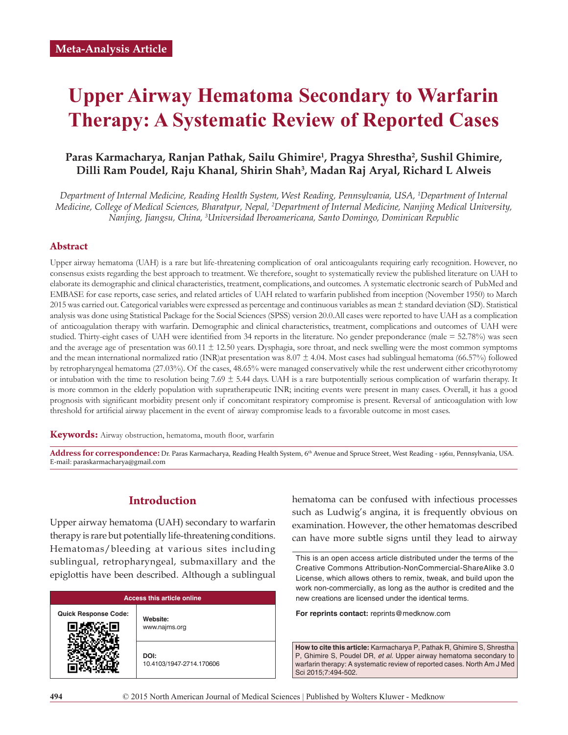# **Upper Airway Hematoma Secondary to Warfarin Therapy: A Systematic Review of Reported Cases**

## Paras Karmacharya, Ranjan Pathak, Sailu Ghimire<sup>1</sup>, Pragya Shrestha<sup>2</sup>, Sushil Ghimire, **Dilli Ram Poudel, Raju Khanal, Shirin Shah3 , Madan Raj Aryal, Richard L Alweis**

*Department of Internal Medicine, Reading Health System, West Reading, Pennsylvania, USA, 1 Department of Internal Medicine, College of Medical Sciences, Bharatpur, Nepal, 2 Department of Internal Medicine, Nanjing Medical University, Nanjing, Jiangsu, China, 3 Universidad Iberoamericana, Santo Domingo, Dominican Republic*

#### **Abstract**

Upper airway hematoma (UAH) is a rare but life-threatening complication of oral anticoagulants requiring early recognition. However, no consensus exists regarding the best approach to treatment. We therefore, sought to systematically review the published literature on UAH to elaborate its demographic and clinical characteristics, treatment, complications, and outcomes. A systematic electronic search of PubMed and EMBASE for case reports, case series, and related articles of UAH related to warfarin published from inception (November 1950) to March 2015 was carried out. Categorical variables were expressed as percentage and continuous variables as mean ± standard deviation (SD). Statistical analysis was done using Statistical Package for the Social Sciences (SPSS) version 20.0.All cases were reported to have UAH as a complication of anticoagulation therapy with warfarin. Demographic and clinical characteristics, treatment, complications and outcomes of UAH were studied. Thirty-eight cases of UAH were identified from 34 reports in the literature. No gender preponderance (male = 52.78%) was seen and the average age of presentation was 60.11 ± 12.50 years. Dysphagia, sore throat, and neck swelling were the most common symptoms and the mean international normalized ratio (INR)at presentation was  $8.07 \pm 4.04$ . Most cases had sublingual hematoma (66.57%) followed by retropharyngeal hematoma (27.03%). Of the cases, 48.65% were managed conservatively while the rest underwent either cricothyrotomy or intubation with the time to resolution being 7.69 ± 5.44 days. UAH is a rare butpotentially serious complication of warfarin therapy. It is more common in the elderly population with supratherapeutic INR; inciting events were present in many cases. Overall, it has a good prognosis with significant morbidity present only if concomitant respiratory compromise is present. Reversal of anticoagulation with low threshold for artificial airway placement in the event of airway compromise leads to a favorable outcome in most cases.

Keywords: Airway obstruction, hematoma, mouth floor, warfarin

Address for correspondence: Dr. Paras Karmacharya, Reading Health System, 6<sup>th</sup> Avenue and Spruce Street, West Reading - 19611, Pennsylvania, USA. E-mail: paraskarmacharya@gmail.com

## **Introduction**

Upper airway hematoma (UAH) secondary to warfarin therapy is rare but potentially life-threatening conditions. Hematomas/bleeding at various sites including sublingual, retropharyngeal, submaxillary and the epiglottis have been described. Although a sublingual

| <b>Access this article online</b> |                                  |  |  |  |  |  |
|-----------------------------------|----------------------------------|--|--|--|--|--|
| <b>Quick Response Code:</b>       | Website:<br>www.najms.org        |  |  |  |  |  |
|                                   | DOI:<br>10.4103/1947-2714.170606 |  |  |  |  |  |

hematoma can be confused with infectious processes such as Ludwig's angina, it is frequently obvious on examination. However, the other hematomas described can have more subtle signs until they lead to airway

**For reprints contact:** reprints@medknow.com

**How to cite this article:** Karmacharya P, Pathak R, Ghimire S, Shrestha P, Ghimire S, Poudel DR, *et al*. Upper airway hematoma secondary to warfarin therapy: A systematic review of reported cases. North Am J Med Sci 2015;7:494-502.

This is an open access article distributed under the terms of the Creative Commons Attribution-NonCommercial-ShareAlike 3.0 License, which allows others to remix, tweak, and build upon the work non-commercially, as long as the author is credited and the new creations are licensed under the identical terms.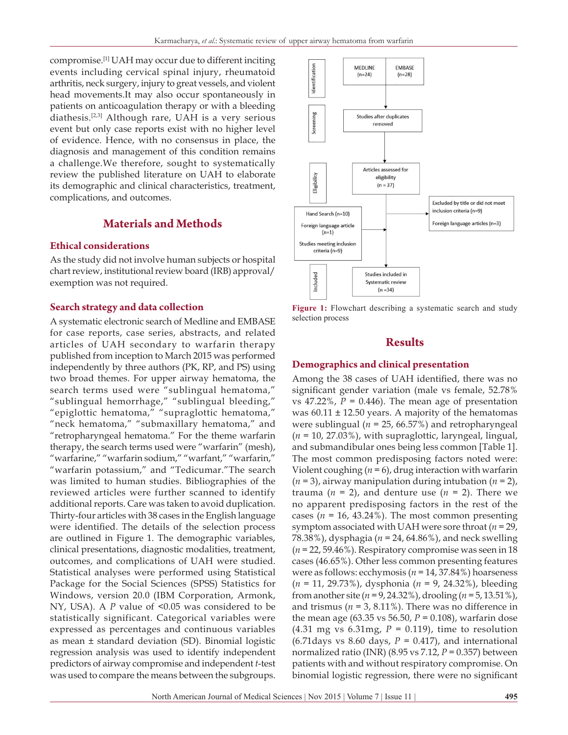compromise.[1] UAH may occur due to different inciting events including cervical spinal injury, rheumatoid arthritis, neck surgery, injury to great vessels, and violent head movements.It may also occur spontaneously in patients on anticoagulation therapy or with a bleeding diathesis.[2,3] Although rare, UAH is a very serious event but only case reports exist with no higher level of evidence. Hence, with no consensus in place, the diagnosis and management of this condition remains a challenge.We therefore, sought to systematically review the published literature on UAH to elaborate its demographic and clinical characteristics, treatment, complications, and outcomes.

# **Materials and Methods**

## **Ethical considerations**

As the study did not involve human subjects or hospital chart review, institutional review board (IRB) approval/ exemption was not required.

## **Search strategy and data collection**

A systematic electronic search of Medline and EMBASE for case reports, case series, abstracts, and related articles of UAH secondary to warfarin therapy published from inception to March 2015 was performed independently by three authors (PK, RP, and PS) using two broad themes. For upper airway hematoma, the search terms used were "sublingual hematoma," "sublingual hemorrhage," "sublingual bleeding," "epiglottic hematoma," "supraglottic hematoma," "neck hematoma," "submaxillary hematoma," and "retropharyngeal hematoma." For the theme warfarin therapy, the search terms used were "warfarin" (mesh), "warfarine," "warfarin sodium," "warfant," "warfarin," "warfarin potassium," and "Tedicumar."The search was limited to human studies. Bibliographies of the reviewed articles were further scanned to identify additional reports. Care was taken to avoid duplication. Thirty-four articles with 38 cases in the English language were identified. The details of the selection process are outlined in Figure 1. The demographic variables, clinical presentations, diagnostic modalities, treatment, outcomes, and complications of UAH were studied. Statistical analyses were performed using Statistical Package for the Social Sciences (SPSS) Statistics for Windows, version 20.0 (IBM Corporation, Armonk, NY, USA). A *P* value of <0.05 was considered to be statistically significant. Categorical variables were expressed as percentages and continuous variables as mean ± standard deviation (SD). Binomial logistic regression analysis was used to identify independent predictors of airway compromise and independent *t*-test was used to compare the means between the subgroups.



Figure 1: Flowchart describing a systematic search and study selection process

## **Results**

#### **Demographics and clinical presentation**

Among the 38 cases of UAH identified, there was no significant gender variation (male vs female, 52.78% vs  $47.22\%$ ,  $P = 0.446$ ). The mean age of presentation was 60.11 ± 12.50 years. A majority of the hematomas were sublingual (*n* = 25, 66.57%) and retropharyngeal (*n* = 10, 27.03%), with supraglottic, laryngeal, lingual, and submandibular ones being less common [Table 1]. The most common predisposing factors noted were: Violent coughing  $(n = 6)$ , drug interaction with warfarin (*n* = 3), airway manipulation during intubation (*n* = 2), trauma ( $n = 2$ ), and denture use ( $n = 2$ ). There we no apparent predisposing factors in the rest of the cases ( $n = 16$ , 43.24%). The most common presenting symptom associated with UAH were sore throat (*n* = 29, 78.38%), dysphagia (*n* = 24, 64.86%), and neck swelling (*n* = 22, 59.46%). Respiratory compromise was seen in 18 cases (46.65%). Other less common presenting features were as follows: ecchymosis (*n* = 14, 37.84%) hoarseness (*n* = 11, 29.73%), dysphonia (*n* = 9, 24.32%), bleeding from another site (*n* = 9, 24.32%), drooling (*n* = 5, 13.51%), and trismus ( $n = 3$ , 8.11%). There was no difference in the mean age (63.35 vs 56.50,  $P = 0.108$ ), warfarin dose  $(4.31 \text{ mg vs } 6.31 \text{ mg}, P = 0.119)$ , time to resolution (6.71days vs 8.60 days,  $P = 0.417$ ), and international normalized ratio (INR) (8.95 vs 7.12, *P* = 0.357) between patients with and without respiratory compromise. On binomial logistic regression, there were no significant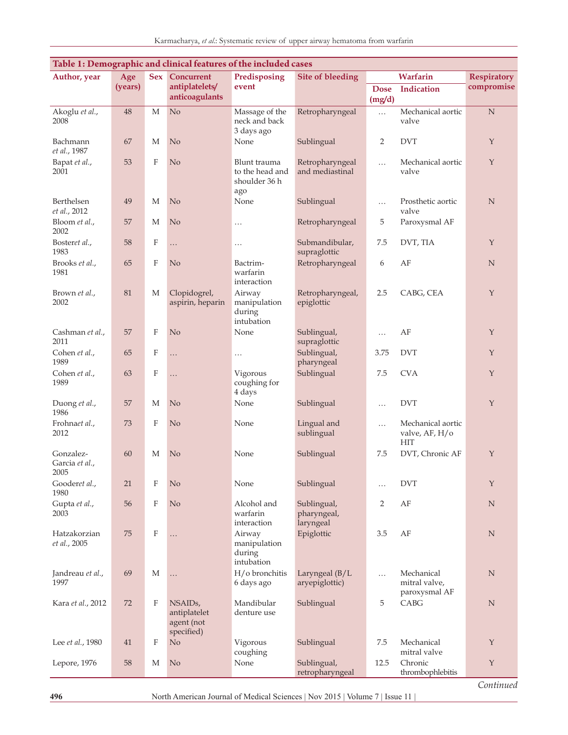| Table 1: Demographic and clinical features of the included cases |         |                  |                                                                  |                                                         |                                         |                       |                                                   |                    |
|------------------------------------------------------------------|---------|------------------|------------------------------------------------------------------|---------------------------------------------------------|-----------------------------------------|-----------------------|---------------------------------------------------|--------------------|
| Author, year                                                     | Age     | Sex              | <b>Concurrent</b>                                                | Predisposing                                            | <b>Site of bleeding</b>                 | Warfarin              |                                                   | <b>Respiratory</b> |
|                                                                  | (years) |                  | antiplatelets/<br>anticoagulants                                 | event                                                   |                                         | <b>Dose</b><br>(mg/d) | <b>Indication</b>                                 | compromise         |
| Akoglu et al.,<br>2008                                           | 48      | M                | N <sub>o</sub>                                                   | Massage of the<br>neck and back<br>3 days ago           | Retropharyngeal                         | $\cdots$              | Mechanical aortic<br>valve                        | N                  |
| Bachmann<br>et al., 1987                                         | 67      | М                | N <sub>o</sub>                                                   | None                                                    | Sublingual                              | $\overline{2}$        | <b>DVT</b>                                        | Y                  |
| Bapat et al.,<br>2001                                            | 53      | F                | No                                                               | Blunt trauma<br>to the head and<br>shoulder 36 h<br>ago | Retropharyngeal<br>and mediastinal      | $\cdots$              | Mechanical aortic<br>valve                        | Y                  |
| Berthelsen<br>et al., 2012                                       | 49      | M                | N <sub>o</sub>                                                   | None                                                    | Sublingual                              | $\cdots$              | Prosthetic aortic<br>valve                        | N                  |
| Bloom et al.,<br>2002                                            | 57      | M                | No                                                               | $\cdots$                                                | Retropharyngeal                         | 5                     | Paroxysmal AF                                     |                    |
| Bosteret al.,<br>1983                                            | 58      | F                | .                                                                | .                                                       | Submandibular,<br>supraglottic          | 7.5                   | DVT, TIA                                          | Y                  |
| Brooks et al.,<br>1981                                           | 65      | F                | No                                                               | Bactrim-<br>warfarin<br>interaction                     | Retropharyngeal                         | 6                     | AF                                                | N                  |
| Brown et al.,<br>2002                                            | 81      | М                | Clopidogrel,<br>aspirin, heparin                                 | Airway<br>manipulation<br>during<br>intubation          | Retropharyngeal,<br>epiglottic          | 2.5                   | CABG, CEA                                         | Y                  |
| Cashman et al.,<br>2011                                          | 57      | $\boldsymbol{F}$ | No                                                               | None                                                    | Sublingual,<br>supraglottic             | .                     | AF                                                | Y                  |
| Cohen et al.,<br>1989                                            | 65      | $\boldsymbol{F}$ | .                                                                | $\cdots$                                                | Sublingual,<br>pharyngeal               | 3.75                  | <b>DVT</b>                                        | Y                  |
| Cohen et al.,<br>1989                                            | 63      | $\boldsymbol{F}$ | .                                                                | Vigorous<br>coughing for<br>4 days                      | Sublingual                              | 7.5                   | <b>CVA</b>                                        | Y                  |
| Duong et al.,<br>1986                                            | 57      | М                | No                                                               | None                                                    | Sublingual                              | .                     | <b>DVT</b>                                        | Y                  |
| Frohnaet al.,<br>2012                                            | 73      | $\boldsymbol{F}$ | No                                                               | None                                                    | Lingual and<br>sublingual               | $\cdots$              | Mechanical aortic<br>valve, AF, H/o<br><b>HIT</b> |                    |
| Gonzalez-<br>Garcia et al.,<br>2005                              | 60      | М                | No                                                               | None                                                    | Sublingual                              | 7.5                   | DVT, Chronic AF                                   | $\mathbf Y$        |
| Gooderet al.,<br>1980                                            | 21      | $_{\rm F}$       | No                                                               | None                                                    | Sublingual                              | .                     | <b>DVT</b>                                        | $\mathbf Y$        |
| Gupta et al.,<br>2003                                            | 56      | $\mathbf F$      | N <sub>o</sub>                                                   | Alcohol and<br>warfarin<br>interaction                  | Sublingual,<br>pharyngeal,<br>laryngeal | $\overline{2}$        | $\rm AF$                                          | $\mathbf N$        |
| Hatzakorzian<br>et al., 2005                                     | 75      | $\boldsymbol{F}$ | .                                                                | Airway<br>manipulation<br>during<br>intubation          | Epiglottic                              | 3.5                   | AF                                                | N                  |
| Jandreau et al.,<br>1997                                         | 69      | M                | .                                                                | H/o bronchitis<br>6 days ago                            | Laryngeal (B/L<br>aryepiglottic)        | $\cdots$              | Mechanical<br>mitral valve,<br>paroxysmal AF      | $\mathbf N$        |
| Kara et al., 2012                                                | 72      | F                | NSAID <sub>s</sub> ,<br>antiplatelet<br>agent (not<br>specified) | Mandibular<br>denture use                               | Sublingual                              | 5                     | CABG                                              | N                  |
| Lee et al., 1980                                                 | 41      | F                | No                                                               | Vigorous<br>coughing                                    | Sublingual                              | 7.5                   | Mechanical<br>mitral valve                        | $\mathbf Y$        |
| Lepore, 1976                                                     | 58      | М                | No                                                               | None                                                    | Sublingual,<br>retropharyngeal          | 12.5                  | Chronic<br>thrombophlebitis                       | $\mathbf Y$        |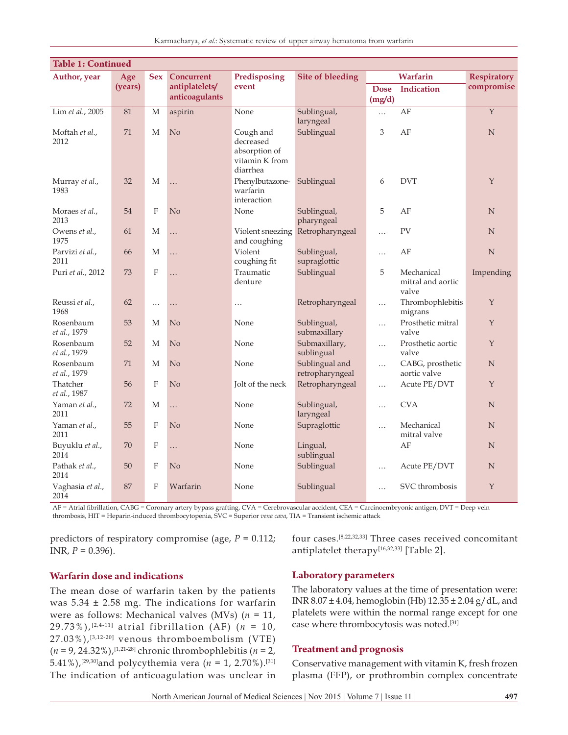| <b>Table 1: Continued</b> |         |                  |                                  |                                                                       |                                   |                       |                                          |                    |  |
|---------------------------|---------|------------------|----------------------------------|-----------------------------------------------------------------------|-----------------------------------|-----------------------|------------------------------------------|--------------------|--|
| Author, year              | Age     | <b>Sex</b>       | <b>Concurrent</b>                | Predisposing                                                          | <b>Site of bleeding</b>           | Warfarin              |                                          | <b>Respiratory</b> |  |
|                           | (years) |                  | antiplatelets/<br>anticoagulants | event                                                                 |                                   | <b>Dose</b><br>(mg/d) | <b>Indication</b>                        | compromise         |  |
| Lim et al., 2005          | 81      | M                | aspirin                          | None                                                                  | Sublingual,<br>laryngeal          | $\cdots$              | AF                                       | Y                  |  |
| Moftah et al.,<br>2012    | 71      | M                | N <sub>o</sub>                   | Cough and<br>decreased<br>absorption of<br>vitamin K from<br>diarrhea | Sublingual                        | 3                     | AF                                       | N                  |  |
| Murray et al.,<br>1983    | 32      | M                | .                                | Phenylbutazone-<br>warfarin<br>interaction                            | Sublingual                        | 6                     | <b>DVT</b>                               | $\mathsf{Y}$       |  |
| Moraes et al.,<br>2013    | 54      | F                | N <sub>o</sub>                   | None                                                                  | Sublingual,<br>pharyngeal         | 5                     | AF                                       | N                  |  |
| Owens et al.,<br>1975     | 61      | M                | $\cdots$                         | Violent sneezing<br>and coughing                                      | Retropharyngeal                   | .                     | PV                                       | N                  |  |
| Parvizi et al.,<br>2011   | 66      | M                | .                                | Violent<br>coughing fit                                               | Sublingual,<br>supraglottic       | .                     | AF                                       | $\mathbf N$        |  |
| Puri et al., 2012         | 73      | $\mathbf{F}$     | .                                | Traumatic<br>denture                                                  | Sublingual                        | 5                     | Mechanical<br>mitral and aortic<br>valve | Impending          |  |
| Reussi et al.,<br>1968    | 62      | $\cdots$         | .                                | .                                                                     | Retropharyngeal                   | $\cdots$              | Thrombophlebitis<br>migrans              | Y                  |  |
| Rosenbaum<br>et al., 1979 | 53      | M                | No                               | None                                                                  | Sublingual,<br>submaxillary       | $\cdots$              | Prosthetic mitral<br>valve               | $\mathbf Y$        |  |
| Rosenbaum<br>et al., 1979 | 52      | M                | No                               | None                                                                  | Submaxillary,<br>sublingual       | $\cdots$              | Prosthetic aortic<br>valve               | Y                  |  |
| Rosenbaum<br>et al., 1979 | 71      | M                | No                               | None                                                                  | Sublingual and<br>retropharyngeal | $\cdots$              | CABG, prosthetic<br>aortic valve         | N                  |  |
| Thatcher<br>et al., 1987  | 56      | $\mathbf{F}$     | No                               | Jolt of the neck                                                      | Retropharyngeal                   | $\cdots$              | Acute PE/DVT                             | Y                  |  |
| Yaman et al.,<br>2011     | 72      | М                | .                                | None                                                                  | Sublingual,<br>laryngeal          | $\cdots$              | <b>CVA</b>                               | $\mathbf N$        |  |
| Yaman et al.,<br>2011     | 55      | F                | No                               | None                                                                  | Supraglottic                      | $\cdots$              | Mechanical<br>mitral valve               | $\mathbf N$        |  |
| Buyuklu et al.,<br>2014   | 70      | $\rm F$          | .                                | None                                                                  | Lingual,<br>sublingual            |                       | AF                                       | $\mathbf N$        |  |
| Pathak et al.,<br>2014    | 50      | $\boldsymbol{F}$ | No                               | None                                                                  | Sublingual                        | $\cdots$              | Acute PE/DVT                             | N                  |  |
| Vaghasia et al.,<br>2014  | 87      | F                | Warfarin                         | None                                                                  | Sublingual                        | $\cdots$              | SVC thrombosis                           | $\mathbf Y$        |  |

AF = Atrial fibrillation, CABG = Coronary artery bypass grafting, CVA = Cerebrovascular accident, CEA = Carcinoembryonic antigen, DVT = Deep vein thrombosis, HIT = Heparin-induced thrombocytopenia, SVC = Superior *vena cava*, TIA = Transient ischemic attack

predictors of respiratory compromise (age, *P* = 0.112; INR, *P* = 0.396).

four cases.[8,22,32,33] Three cases received concomitant antiplatelet therapy $[16,32,33]$  [Table 2].

#### **Warfarin dose and indications**

The mean dose of warfarin taken by the patients was  $5.34 \pm 2.58$  mg. The indications for warfarin were as follows: Mechanical valves (MVs) (*n* = 11, 29.73%), [2,4-11] atrial fibrillation (AF) (*n* = 10,  $27.03\%$ ),  $[3,12-20]$  venous thromboembolism (VTE) (*n* = 9, 24.32%),[1,21-28] chronic thrombophlebitis (*n* = 2, 5.41%),<sup>[29,30]</sup>and polycythemia vera ( $n = 1$ , 2.70%).<sup>[31]</sup> The indication of anticoagulation was unclear in

#### **Laboratory parameters**

The laboratory values at the time of presentation were: INR 8.07 ± 4.04, hemoglobin (Hb) 12.35 ± 2.04 g/dL, and platelets were within the normal range except for one case where thrombocytosis was noted.[31]

#### **Treatment and prognosis**

Conservative management with vitamin K, fresh frozen plasma (FFP), or prothrombin complex concentrate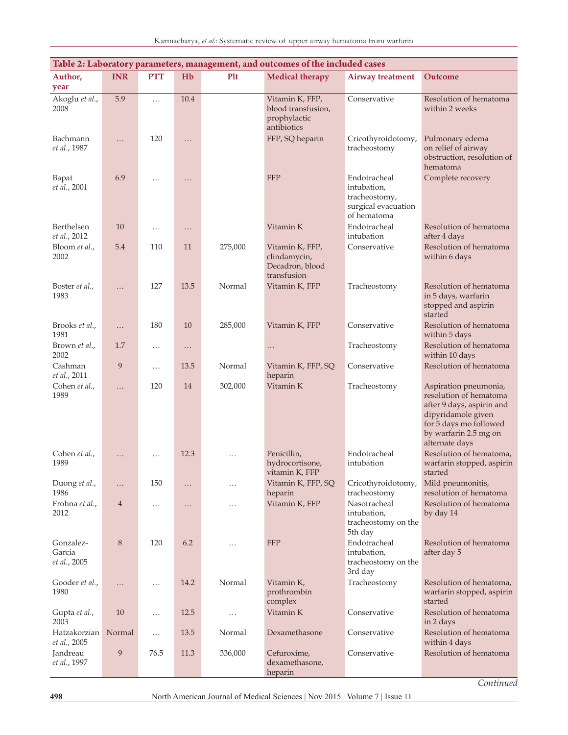| Table 2: Laboratory parameters, management, and outcomes of the included cases |                  |            |          |            |                                                                      |                                                                                    |                                                                                                                                                                         |  |  |
|--------------------------------------------------------------------------------|------------------|------------|----------|------------|----------------------------------------------------------------------|------------------------------------------------------------------------------------|-------------------------------------------------------------------------------------------------------------------------------------------------------------------------|--|--|
| Author,                                                                        | <b>INR</b>       | <b>PTT</b> | Hb       | <b>Plt</b> | <b>Medical therapy</b>                                               | <b>Airway treatment</b>                                                            | Outcome                                                                                                                                                                 |  |  |
| year                                                                           |                  |            |          |            |                                                                      |                                                                                    |                                                                                                                                                                         |  |  |
| Akoglu et al.,<br>2008                                                         | 5.9              | $\cdots$   | 10.4     |            | Vitamin K, FFP,<br>blood transfusion,<br>prophylactic<br>antibiotics | Conservative                                                                       | Resolution of hematoma<br>within 2 weeks                                                                                                                                |  |  |
| Bachmann<br>et al., 1987                                                       | .                | 120        | $\cdots$ |            | FFP, SQ heparin                                                      | Cricothyroidotomy,<br>tracheostomy                                                 | Pulmonary edema<br>on relief of airway<br>obstruction, resolution of<br>hematoma                                                                                        |  |  |
| Bapat<br>et al., 2001                                                          | 6.9              | $\cdots$   | $\cdots$ |            | <b>FFP</b>                                                           | Endotracheal<br>intubation,<br>tracheostomy,<br>surgical evacuation<br>of hematoma | Complete recovery                                                                                                                                                       |  |  |
| Berthelsen<br>et al., 2012                                                     | 10               | $\cdots$   | $\cdots$ |            | Vitamin K                                                            | Endotracheal<br>intubation                                                         | Resolution of hematoma<br>after 4 days                                                                                                                                  |  |  |
| Bloom et al.,<br>2002                                                          | 5.4              | 110        | 11       | 275,000    | Vitamin K, FFP,<br>clindamycin,<br>Decadron, blood<br>transfusion    | Conservative                                                                       | Resolution of hematoma<br>within 6 days                                                                                                                                 |  |  |
| Boster et al.,<br>1983                                                         | .                | 127        | 13.5     | Normal     | Vitamin K, FFP                                                       | Tracheostomy                                                                       | Resolution of hematoma<br>in 5 days, warfarin<br>stopped and aspirin<br>started                                                                                         |  |  |
| Brooks et al.,<br>1981                                                         | $\cdots$         | 180        | 10       | 285,000    | Vitamin K, FFP                                                       | Conservative                                                                       | Resolution of hematoma<br>within 5 days                                                                                                                                 |  |  |
| Brown et al.,<br>2002                                                          | 1.7              | $\cdots$   | $\cdots$ |            | $\cdots$                                                             | Tracheostomy                                                                       | Resolution of hematoma<br>within 10 days                                                                                                                                |  |  |
| Cashman<br>et al., 2011                                                        | 9                | $\cdots$   | 13.5     | Normal     | Vitamin K, FFP, SQ<br>heparin                                        | Conservative                                                                       | Resolution of hematoma                                                                                                                                                  |  |  |
| Cohen et al.,<br>1989                                                          | .                | 120        | 14       | 302,000    | Vitamin K                                                            | Tracheostomy                                                                       | Aspiration pneumonia,<br>resolution of hematoma<br>after 9 days, aspirin and<br>dipyridamole given<br>for 5 days mo followed<br>by warfarin 2.5 mg on<br>alternate days |  |  |
| Cohen et al.,<br>1989                                                          | .                | $\cdots$   | 12.3     | $\cdots$   | Penicillin,<br>hydrocortisone,<br>vitamin K, FFP                     | Endotracheal<br>intubation                                                         | Resolution of hematoma,<br>warfarin stopped, aspirin<br>started                                                                                                         |  |  |
| Duong et al.,<br>1986                                                          | .                | 150        | .        | $\cdots$   | Vitamin K, FFP, SQ<br>heparin                                        | Cricothyroidotomy,<br>tracheostomy                                                 | Mild pneumonitis,<br>resolution of hematoma                                                                                                                             |  |  |
| Frohna et al.,<br>2012                                                         | $\overline{4}$   | $\cdots$   | .        | $\cdots$   | Vitamin K, FFP                                                       | Nasotracheal<br>intubation,<br>tracheostomy on the<br>5th day                      | Resolution of hematoma<br>by day 14                                                                                                                                     |  |  |
| Gonzalez-<br>Garcia<br>et al., 2005                                            | 8                | 120        | 6.2      | .          | <b>FFP</b>                                                           | Endotracheal<br>intubation,<br>tracheostomy on the<br>3rd day                      | Resolution of hematoma<br>after day 5                                                                                                                                   |  |  |
| Gooder et al.,<br>1980                                                         | $\cdots$         | $\cdots$   | 14.2     | Normal     | Vitamin K,<br>prothrombin<br>complex                                 | Tracheostomy                                                                       | Resolution of hematoma,<br>warfarin stopped, aspirin<br>started                                                                                                         |  |  |
| Gupta et al.,<br>2003                                                          | 10               | $\cdots$   | 12.5     | .          | Vitamin K                                                            | Conservative                                                                       | Resolution of hematoma<br>in 2 days                                                                                                                                     |  |  |
| Hatzakorzian<br>et al., 2005                                                   | Normal           | $\cdots$   | 13.5     | Normal     | Dexamethasone                                                        | Conservative                                                                       | Resolution of hematoma<br>within 4 days                                                                                                                                 |  |  |
| Jandreau<br>et al., 1997                                                       | $\boldsymbol{9}$ | 76.5       | 11.3     | 336,000    | Cefuroxime,<br>dexamethasone,<br>heparin                             | Conservative                                                                       | Resolution of hematoma                                                                                                                                                  |  |  |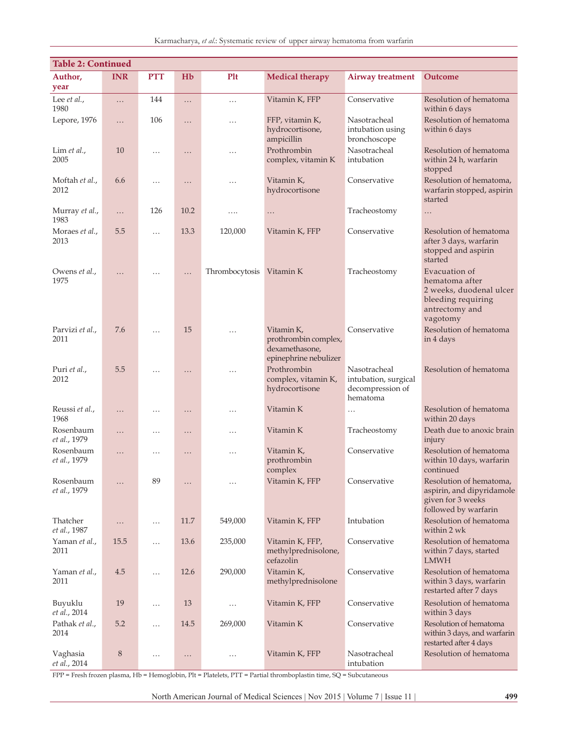| Karmacharya, et al.: Systematic review of upper airway hematoma from warfarir |  |  |  |  |  |
|-------------------------------------------------------------------------------|--|--|--|--|--|
|                                                                               |  |  |  |  |  |

| <b>Table 2: Continued</b> |             |            |          |                |                                                                               |                                                                      |                                                                                                                |  |  |
|---------------------------|-------------|------------|----------|----------------|-------------------------------------------------------------------------------|----------------------------------------------------------------------|----------------------------------------------------------------------------------------------------------------|--|--|
| Author,                   | <b>INR</b>  | <b>PTT</b> | Hb       | <b>Plt</b>     | <b>Medical therapy</b>                                                        | <b>Airway treatment</b>                                              | Outcome                                                                                                        |  |  |
| year                      |             |            |          |                |                                                                               |                                                                      |                                                                                                                |  |  |
| Lee et al.,<br>1980       | .           | 144        | .        | $\cdots$       | Vitamin K, FFP                                                                | Conservative                                                         | Resolution of hematoma<br>within 6 days                                                                        |  |  |
| Lepore, 1976              | .           | 106        | .        | .              | FFP, vitamin K,<br>hydrocortisone,<br>ampicillin                              | Nasotracheal<br>intubation using<br>bronchoscope                     | Resolution of hematoma<br>within 6 days                                                                        |  |  |
| Lim $et$ al.,<br>2005     | 10          | $\cdots$   | $\cdots$ | $\cdots$       | Prothrombin<br>complex, vitamin K                                             | Nasotracheal<br>intubation                                           | Resolution of hematoma<br>within 24 h, warfarin<br>stopped                                                     |  |  |
| Moftah et al.,<br>2012    | 6.6         | $\cdots$   | $\cdots$ | $\cdots$       | Vitamin K,<br>hydrocortisone                                                  | Conservative                                                         | Resolution of hematoma,<br>warfarin stopped, aspirin<br>started                                                |  |  |
| Murray et al.,<br>1983    | .           | 126        | 10.2     | .              | $\cdots$                                                                      | Tracheostomy                                                         | $\cdots$                                                                                                       |  |  |
| Moraes et al.,<br>2013    | 5.5         | $\cdots$   | 13.3     | 120,000        | Vitamin K, FFP                                                                | Conservative                                                         | Resolution of hematoma<br>after 3 days, warfarin<br>stopped and aspirin<br>started                             |  |  |
| Owens et al.,<br>1975     | .           | .          | $\cdots$ | Thrombocytosis | Vitamin K                                                                     | Tracheostomy                                                         | Evacuation of<br>hematoma after<br>2 weeks, duodenal ulcer<br>bleeding requiring<br>antrectomy and<br>vagotomy |  |  |
| Parvizi et al.,<br>2011   | 7.6         | $\cdots$   | 15       | .              | Vitamin K,<br>prothrombin complex,<br>dexamethasone,<br>epinephrine nebulizer | Conservative                                                         | Resolution of hematoma<br>in 4 days                                                                            |  |  |
| Puri et al.,<br>2012      | 5.5         | $\cdots$   | .        | $\cdots$       | Prothrombin<br>complex, vitamin K,<br>hydrocortisone                          | Nasotracheal<br>intubation, surgical<br>decompression of<br>hematoma | Resolution of hematoma                                                                                         |  |  |
| Reussi et al.,<br>1968    | $\cdots$    | $\cdots$   | $\cdots$ | $\cdots$       | Vitamin K                                                                     | $\cdots$                                                             | Resolution of hematoma<br>within 20 days                                                                       |  |  |
| Rosenbaum<br>et al., 1979 | .           | $\cdots$   | $\cdots$ | .              | Vitamin K                                                                     | Tracheostomy                                                         | Death due to anoxic brain<br>injury                                                                            |  |  |
| Rosenbaum<br>et al., 1979 | $\cdots$    | $\cdots$   | .        | .              | Vitamin K,<br>prothrombin<br>complex                                          | Conservative                                                         | Resolution of hematoma<br>within 10 days, warfarin<br>continued                                                |  |  |
| Rosenbaum<br>et al., 1979 | .           | 89         | .        | $\cdots$       | Vitamin K, FFP                                                                | Conservative                                                         | Resolution of hematoma,<br>aspirin, and dipyridamole<br>given for 3 weeks<br>followed by warfarin              |  |  |
| Thatcher<br>et al., 1987  | $\cdots$    | $\cdots$   | 11.7     | 549,000        | Vitamin K, FFP                                                                | Intubation                                                           | Resolution of hematoma<br>within 2 wk                                                                          |  |  |
| Yaman et al.,<br>2011     | 15.5        | $\cdots$   | 13.6     | 235,000        | Vitamin K, FFP,<br>methylprednisolone,<br>cefazolin                           | Conservative                                                         | Resolution of hematoma<br>within 7 days, started<br><b>LMWH</b>                                                |  |  |
| Yaman et al.,<br>2011     | 4.5         | $\cdots$   | 12.6     | 290,000        | Vitamin K,<br>methylprednisolone                                              | Conservative                                                         | Resolution of hematoma<br>within 3 days, warfarin<br>restarted after 7 days                                    |  |  |
| Buyuklu<br>et al., 2014   | 19          | $\cdots$   | 13       | $\cdots$       | Vitamin K, FFP                                                                | Conservative                                                         | Resolution of hematoma<br>within 3 days                                                                        |  |  |
| Pathak et al.,<br>2014    | 5.2         | $\cdots$   | 14.5     | 269,000        | Vitamin K                                                                     | Conservative                                                         | Resolution of hematoma<br>within 3 days, and warfarin<br>restarted after 4 days                                |  |  |
| Vaghasia<br>et al., 2014  | $\,$ 8 $\,$ | $\ldots$   | $\cdots$ | $\ldots$       | Vitamin K, FFP                                                                | Nasotracheal<br>intubation                                           | Resolution of hematoma                                                                                         |  |  |

FPP = Fresh frozen plasma, Hb = Hemoglobin, Plt = Platelets, PTT = Partial thromboplastin time, SQ = Subcutaneous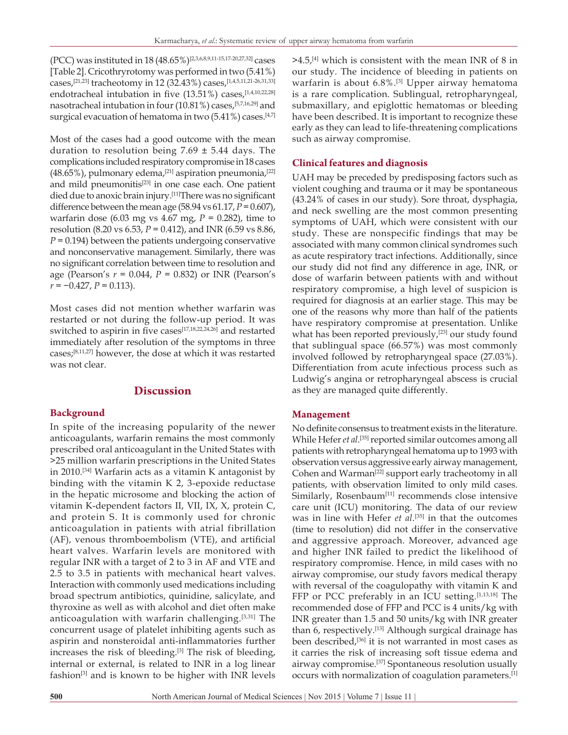(PCC) was instituted in 18 (48.65%)[2,3,6,8,9,11-15,17-20,27,32] cases [Table 2]. Cricothryrotomy was performed in two (5.41%) cases,<sup>[21,23]</sup> tracheotomy in 12 (32.43%) cases,<sup>[1,4,5,11,21-26,31,33]</sup> endotracheal intubation in five (13.51%) cases,<sup>[1,4,10,22,28]</sup> nasotracheal intubation in four (10.81%) cases,[5,7,16,29] and surgical evacuation of hematoma in two (5.41%) cases.<sup>[4,7]</sup>

Most of the cases had a good outcome with the mean duration to resolution being  $7.69 \pm 5.44$  days. The complications included respiratory compromise in 18 cases  $(48.65\%)$ , pulmonary edema,<sup>[21]</sup> aspiration pneumonia,<sup>[22]</sup> and mild pneumonitis<sup>[23]</sup> in one case each. One patient died due to anoxic brain injury.[11]There was no significant difference between the mean age  $(58.94 \text{ vs } 61.17, P = 0.607)$ , warfarin dose (6.03 mg vs 4.67 mg, *P* = 0.282), time to resolution (8.20 vs 6.53, *P* = 0.412), and INR (6.59 vs 8.86,  $P = 0.194$ ) between the patients undergoing conservative and nonconservative management. Similarly, there was no significant correlation between time to resolution and age (Pearson's *r* = 0.044, *P* = 0.832) or INR (Pearson's *r* = −0.427, *P* = 0.113).

Most cases did not mention whether warfarin was restarted or not during the follow-up period. It was switched to aspirin in five cases[17,18,22,24,26] and restarted immediately after resolution of the symptoms in three cases;[8,11,27] however, the dose at which it was restarted was not clear.

## **Discussion**

## **Background**

In spite of the increasing popularity of the newer anticoagulants, warfarin remains the most commonly prescribed oral anticoagulant in the United States with >25 million warfarin prescriptions in the United States in 2010.[34] Warfarin acts as a vitamin K antagonist by binding with the vitamin K 2, 3-epoxide reductase in the hepatic microsome and blocking the action of vitamin K-dependent factors II, VII, IX, X, protein C, and protein S. It is commonly used for chronic anticoagulation in patients with atrial fibrillation (AF), venous thromboembolism (VTE), and artificial heart valves. Warfarin levels are monitored with regular INR with a target of 2 to 3 in AF and VTE and 2.5 to 3.5 in patients with mechanical heart valves. Interaction with commonly used medications including broad spectrum antibiotics, quinidine, salicylate, and thyroxine as well as with alcohol and diet often make anticoagulation with warfarin challenging.[3,31] The concurrent usage of platelet inhibiting agents such as aspirin and nonsteroidal anti-inflammatories further increases the risk of bleeding.<sup>[3]</sup> The risk of bleeding, internal or external, is related to INR in a log linear fashion[3] and is known to be higher with INR levels

 $>4.5$ ,<sup>[4]</sup> which is consistent with the mean INR of 8 in our study. The incidence of bleeding in patients on warfarin is about 6.8%.[3] Upper airway hematoma is a rare complication. Sublingual, retropharyngeal, submaxillary, and epiglottic hematomas or bleeding have been described. It is important to recognize these early as they can lead to life-threatening complications such as airway compromise.

## **Clinical features and diagnosis**

UAH may be preceded by predisposing factors such as violent coughing and trauma or it may be spontaneous (43.24% of cases in our study). Sore throat, dysphagia, and neck swelling are the most common presenting symptoms of UAH, which were consistent with our study. These are nonspecific findings that may be associated with many common clinical syndromes such as acute respiratory tract infections. Additionally, since our study did not find any difference in age, INR, or dose of warfarin between patients with and without respiratory compromise, a high level of suspicion is required for diagnosis at an earlier stage. This may be one of the reasons why more than half of the patients have respiratory compromise at presentation. Unlike what has been reported previously,<sup>[23]</sup> our study found that sublingual space (66.57%) was most commonly involved followed by retropharyngeal space (27.03%). Differentiation from acute infectious process such as Ludwig's angina or retropharyngeal abscess is crucial as they are managed quite differently.

## **Management**

No definite consensus to treatment exists in the literature. While Hefer *et al*. [35] reported similar outcomes among all patients with retropharyngeal hematoma up to 1993 with observation versus aggressive early airway management, Cohen and Warman<sup>[22]</sup> support early tracheotomy in all patients, with observation limited to only mild cases. Similarly, Rosenbaum<sup>[11]</sup> recommends close intensive care unit (ICU) monitoring. The data of our review was in line with Hefer *et al*. [35] in that the outcomes (time to resolution) did not differ in the conservative and aggressive approach. Moreover, advanced age and higher INR failed to predict the likelihood of respiratory compromise. Hence, in mild cases with no airway compromise, our study favors medical therapy with reversal of the coagulopathy with vitamin K and FFP or PCC preferably in an ICU setting.<sup>[1,13,18]</sup> The recommended dose of FFP and PCC is 4 units/kg with INR greater than 1.5 and 50 units/kg with INR greater than 6, respectively.<sup>[13]</sup> Although surgical drainage has been described,<sup>[36]</sup> it is not warranted in most cases as it carries the risk of increasing soft tissue edema and airway compromise.[37] Spontaneous resolution usually occurs with normalization of coagulation parameters.[1]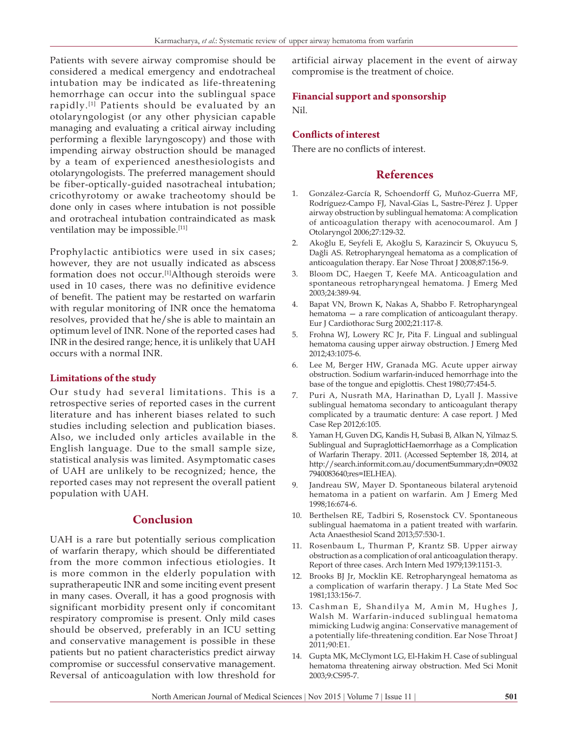Patients with severe airway compromise should be considered a medical emergency and endotracheal intubation may be indicated as life-threatening hemorrhage can occur into the sublingual space rapidly.<sup>[1]</sup> Patients should be evaluated by an otolaryngologist (or any other physician capable managing and evaluating a critical airway including performing a flexible laryngoscopy) and those with impending airway obstruction should be managed by a team of experienced anesthesiologists and otolaryngologists. The preferred management should be fiber-optically-guided nasotracheal intubation; cricothyrotomy or awake tracheotomy should be done only in cases where intubation is not possible and orotracheal intubation contraindicated as mask ventilation may be impossible.<sup>[11]</sup>

Prophylactic antibiotics were used in six cases; however, they are not usually indicated as abscess formation does not occur.<sup>[1]</sup>Although steroids were used in 10 cases, there was no definitive evidence of benefit. The patient may be restarted on warfarin with regular monitoring of INR once the hematoma resolves, provided that he/she is able to maintain an optimum level of INR. None of the reported cases had INR in the desired range; hence, it is unlikely that UAH occurs with a normal INR.

#### **Limitations of the study**

Our study had several limitations. This is a retrospective series of reported cases in the current literature and has inherent biases related to such studies including selection and publication biases. Also, we included only articles available in the English language. Due to the small sample size, statistical analysis was limited. Asymptomatic cases of UAH are unlikely to be recognized; hence, the reported cases may not represent the overall patient population with UAH.

## **Conclusion**

UAH is a rare but potentially serious complication of warfarin therapy, which should be differentiated from the more common infectious etiologies. It is more common in the elderly population with supratherapeutic INR and some inciting event present in many cases. Overall, it has a good prognosis with significant morbidity present only if concomitant respiratory compromise is present. Only mild cases should be observed, preferably in an ICU setting and conservative management is possible in these patients but no patient characteristics predict airway compromise or successful conservative management. Reversal of anticoagulation with low threshold for

artificial airway placement in the event of airway compromise is the treatment of choice.

## **Financial support and sponsorship**

Nil.

## **Conflicts of interest**

There are no conflicts of interest.

## **References**

- 1. González-García R, Schoendorff G, Muñoz-Guerra MF, Rodríguez-Campo FJ, Naval-Gías L, Sastre-Pérez J. Upper airway obstruction by sublingual hematoma: A complication of anticoagulation therapy with acenocoumarol. Am J Otolaryngol 2006;27:129-32.
- 2. Akoğlu E, Seyfeli E, Akoğlu S, Karazincir S, Okuyucu S, Dağli AS. Retropharyngeal hematoma as a complication of anticoagulation therapy. Ear Nose Throat J 2008;87:156-9.
- 3. Bloom DC, Haegen T, Keefe MA. Anticoagulation and spontaneous retropharyngeal hematoma. J Emerg Med 2003;24:389-94.
- 4. Bapat VN, Brown K, Nakas A, Shabbo F. Retropharyngeal hematoma — a rare complication of anticoagulant therapy. Eur J Cardiothorac Surg 2002;21:117-8.
- 5. Frohna WJ, Lowery RC Jr, Pita F. Lingual and sublingual hematoma causing upper airway obstruction. J Emerg Med 2012;43:1075-6.
- 6. Lee M, Berger HW, Granada MG. Acute upper airway obstruction. Sodium warfarin-induced hemorrhage into the base of the tongue and epiglottis. Chest 1980;77:454-5.
- 7. Puri A, Nusrath MA, Harinathan D, Lyall J. Massive sublingual hematoma secondary to anticoagulant therapy complicated by a traumatic denture: A case report. J Med Case Rep 2012;6:105.
- 8. Yaman H, Guven DG, Kandis H, Subasi B, Alkan N, Yilmaz S. Sublingual and SupraglotticHaemorrhage as a Complication of Warfarin Therapy. 2011. (Accessed September 18, 2014, at http://search.informit.com.au/documentSummary;dn=09032 7940083640;res=IELHEA).
- 9. Jandreau SW, Mayer D. Spontaneous bilateral arytenoid hematoma in a patient on warfarin. Am J Emerg Med 1998;16:674-6.
- 10. Berthelsen RE, Tadbiri S, Rosenstock CV. Spontaneous sublingual haematoma in a patient treated with warfarin. Acta Anaesthesiol Scand 2013;57:530-1.
- 11. Rosenbaum L, Thurman P, Krantz SB. Upper airway obstruction as a complication of oral anticoagulation therapy. Report of three cases. Arch Intern Med 1979;139:1151-3.
- 12. Brooks BJ Jr, Mocklin KE. Retropharyngeal hematoma as a complication of warfarin therapy. J La State Med Soc 1981;133:156-7.
- 13. Cashman E, Shandilya M, Amin M, Hughes J, Walsh M. Warfarin-induced sublingual hematoma mimicking Ludwig angina: Conservative management of a potentially life-threatening condition. Ear Nose Throat J 2011;90:E1.
- 14. Gupta MK, McClymont LG, El-Hakim H. Case of sublingual hematoma threatening airway obstruction. Med Sci Monit 2003;9:CS95-7.